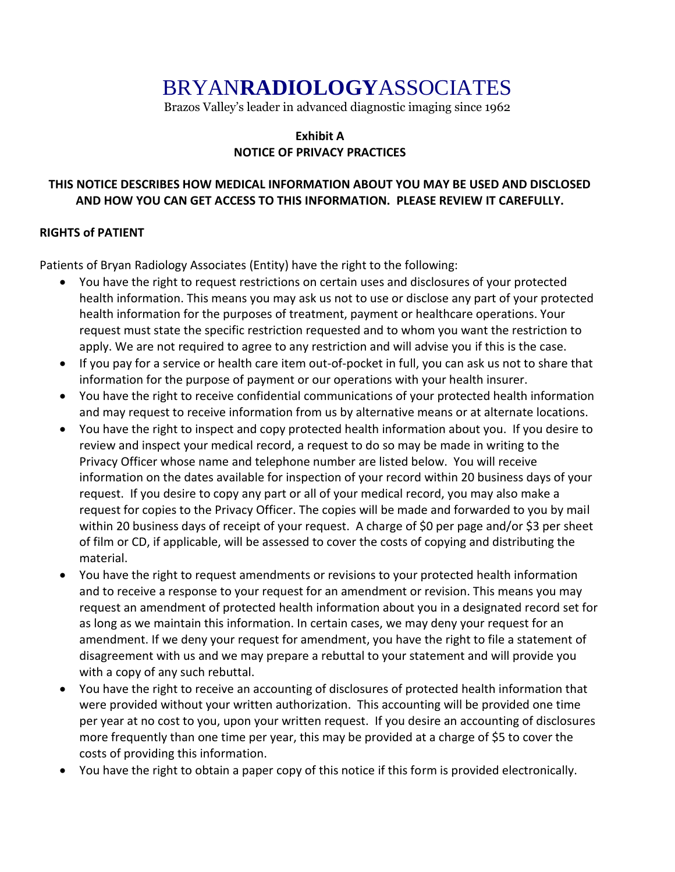# BRYAN**RADIOLOGY**ASSOCIATES

Brazos Valley's leader in advanced diagnostic imaging since 1962

# **Exhibit A NOTICE OF PRIVACY PRACTICES**

# **THIS NOTICE DESCRIBES HOW MEDICAL INFORMATION ABOUT YOU MAY BE USED AND DISCLOSED AND HOW YOU CAN GET ACCESS TO THIS INFORMATION. PLEASE REVIEW IT CAREFULLY.**

# **RIGHTS of PATIENT**

Patients of Bryan Radiology Associates (Entity) have the right to the following:

- You have the right to request restrictions on certain uses and disclosures of your protected health information. This means you may ask us not to use or disclose any part of your protected health information for the purposes of treatment, payment or healthcare operations. Your request must state the specific restriction requested and to whom you want the restriction to apply. We are not required to agree to any restriction and will advise you if this is the case.
- If you pay for a service or health care item out-of-pocket in full, you can ask us not to share that information for the purpose of payment or our operations with your health insurer.
- You have the right to receive confidential communications of your protected health information and may request to receive information from us by alternative means or at alternate locations.
- You have the right to inspect and copy protected health information about you. If you desire to review and inspect your medical record, a request to do so may be made in writing to the Privacy Officer whose name and telephone number are listed below. You will receive information on the dates available for inspection of your record within 20 business days of your request. If you desire to copy any part or all of your medical record, you may also make a request for copies to the Privacy Officer. The copies will be made and forwarded to you by mail within 20 business days of receipt of your request. A charge of \$0 per page and/or \$3 per sheet of film or CD, if applicable, will be assessed to cover the costs of copying and distributing the material.
- You have the right to request amendments or revisions to your protected health information and to receive a response to your request for an amendment or revision. This means you may request an amendment of protected health information about you in a designated record set for as long as we maintain this information. In certain cases, we may deny your request for an amendment. If we deny your request for amendment, you have the right to file a statement of disagreement with us and we may prepare a rebuttal to your statement and will provide you with a copy of any such rebuttal.
- You have the right to receive an accounting of disclosures of protected health information that were provided without your written authorization. This accounting will be provided one time per year at no cost to you, upon your written request. If you desire an accounting of disclosures more frequently than one time per year, this may be provided at a charge of \$5 to cover the costs of providing this information.
- You have the right to obtain a paper copy of this notice if this form is provided electronically.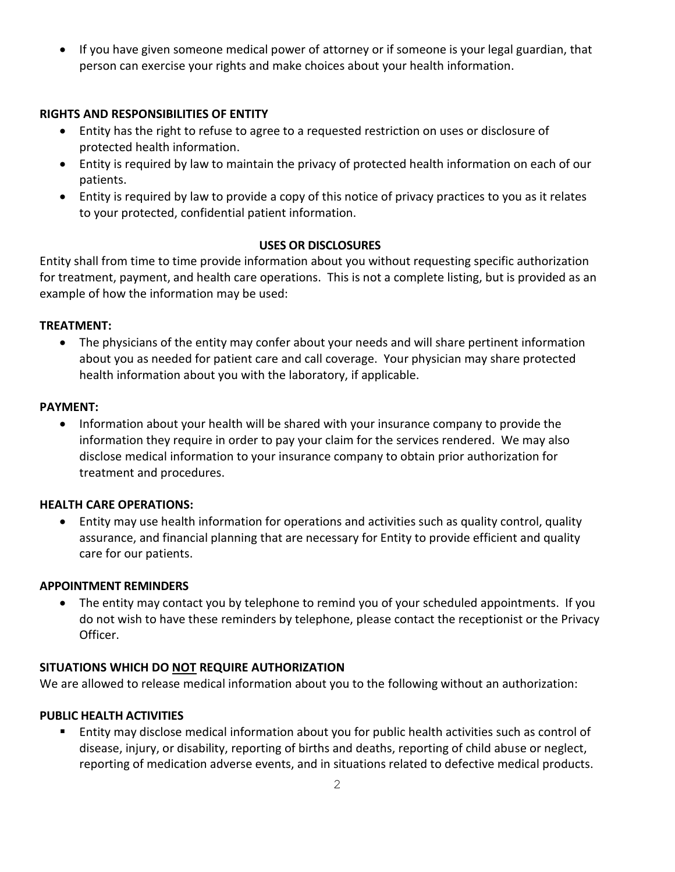If you have given someone medical power of attorney or if someone is your legal guardian, that person can exercise your rights and make choices about your health information.

# **RIGHTS AND RESPONSIBILITIES OF ENTITY**

- Entity has the right to refuse to agree to a requested restriction on uses or disclosure of protected health information.
- Entity is required by law to maintain the privacy of protected health information on each of our patients.
- Entity is required by law to provide a copy of this notice of privacy practices to you as it relates to your protected, confidential patient information.

## **USES OR DISCLOSURES**

Entity shall from time to time provide information about you without requesting specific authorization for treatment, payment, and health care operations. This is not a complete listing, but is provided as an example of how the information may be used:

#### **TREATMENT:**

 The physicians of the entity may confer about your needs and will share pertinent information about you as needed for patient care and call coverage. Your physician may share protected health information about you with the laboratory, if applicable.

#### **PAYMENT:**

 Information about your health will be shared with your insurance company to provide the information they require in order to pay your claim for the services rendered. We may also disclose medical information to your insurance company to obtain prior authorization for treatment and procedures.

#### **HEALTH CARE OPERATIONS:**

 Entity may use health information for operations and activities such as quality control, quality assurance, and financial planning that are necessary for Entity to provide efficient and quality care for our patients.

#### **APPOINTMENT REMINDERS**

 The entity may contact you by telephone to remind you of your scheduled appointments. If you do not wish to have these reminders by telephone, please contact the receptionist or the Privacy Officer.

## **SITUATIONS WHICH DO NOT REQUIRE AUTHORIZATION**

We are allowed to release medical information about you to the following without an authorization:

## **PUBLIC HEALTH ACTIVITIES**

 Entity may disclose medical information about you for public health activities such as control of disease, injury, or disability, reporting of births and deaths, reporting of child abuse or neglect, reporting of medication adverse events, and in situations related to defective medical products.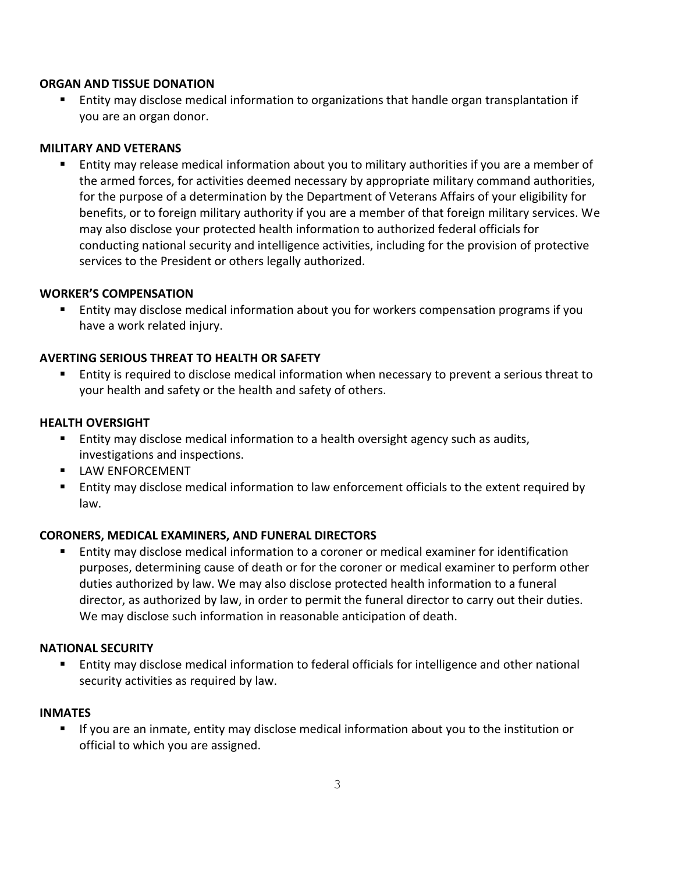#### **ORGAN AND TISSUE DONATION**

 Entity may disclose medical information to organizations that handle organ transplantation if you are an organ donor.

#### **MILITARY AND VETERANS**

 Entity may release medical information about you to military authorities if you are a member of the armed forces, for activities deemed necessary by appropriate military command authorities, for the purpose of a determination by the Department of Veterans Affairs of your eligibility for benefits, or to foreign military authority if you are a member of that foreign military services. We may also disclose your protected health information to authorized federal officials for conducting national security and intelligence activities, including for the provision of protective services to the President or others legally authorized.

## **WORKER'S COMPENSATION**

 Entity may disclose medical information about you for workers compensation programs if you have a work related injury.

## **AVERTING SERIOUS THREAT TO HEALTH OR SAFETY**

 Entity is required to disclose medical information when necessary to prevent a serious threat to your health and safety or the health and safety of others.

#### **HEALTH OVERSIGHT**

- Entity may disclose medical information to a health oversight agency such as audits, investigations and inspections.
- **LAW ENFORCEMENT**
- Entity may disclose medical information to law enforcement officials to the extent required by law.

## **CORONERS, MEDICAL EXAMINERS, AND FUNERAL DIRECTORS**

 Entity may disclose medical information to a coroner or medical examiner for identification purposes, determining cause of death or for the coroner or medical examiner to perform other duties authorized by law. We may also disclose protected health information to a funeral director, as authorized by law, in order to permit the funeral director to carry out their duties. We may disclose such information in reasonable anticipation of death.

#### **NATIONAL SECURITY**

 Entity may disclose medical information to federal officials for intelligence and other national security activities as required by law.

#### **INMATES**

 If you are an inmate, entity may disclose medical information about you to the institution or official to which you are assigned.